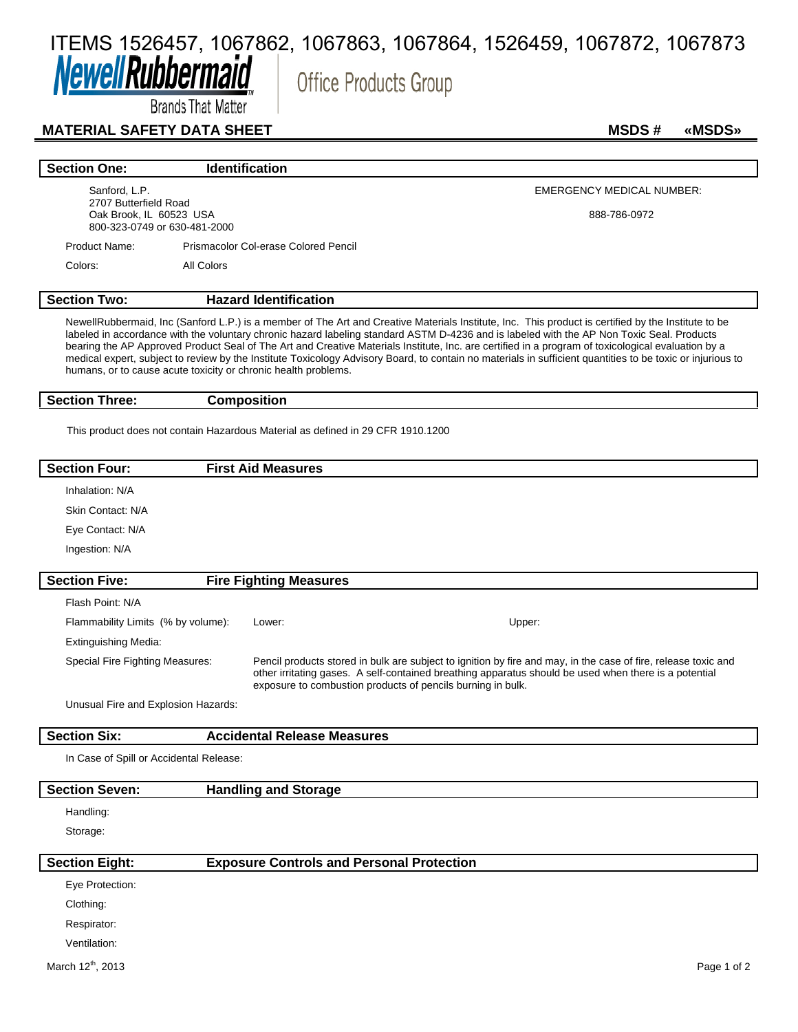# ITEMS 1526457, 1067862, 1067863, 1067864, 1526459, 1067872, 1067873**Newell Rubberl**

**Office Products Group** 

Brands That Matter

#### **MATERIAL SAFETY DATA SHEET MSDS # «MSDS»**

| <b>Section One:</b>                              | <b>Identification</b>                                                                                                                     |                                                                                                                                                     |
|--------------------------------------------------|-------------------------------------------------------------------------------------------------------------------------------------------|-----------------------------------------------------------------------------------------------------------------------------------------------------|
| Sanford, L.P.                                    |                                                                                                                                           | <b>EMERGENCY MEDICAL NUMBER:</b>                                                                                                                    |
| 2707 Butterfield Road<br>Oak Brook, IL 60523 USA | 800-323-0749 or 630-481-2000                                                                                                              | 888-786-0972                                                                                                                                        |
| Product Name:                                    | Prismacolor Col-erase Colored Pencil                                                                                                      |                                                                                                                                                     |
| Colors:                                          | All Colors                                                                                                                                |                                                                                                                                                     |
| <b>Section Two:</b>                              | <b>Hazard Identification</b>                                                                                                              |                                                                                                                                                     |
|                                                  | labeled in accordance with the voluntary chronic bazard labeling standard ASTM D 4226 and is labeled with the AD Nep Toyic Seal. Products | NewellRubbermaid, Inc (Sanford L.P.) is a member of The Art and Creative Materials Institute, Inc. This product is certified by the Institute to be |

labeled in accordance with the voluntary chronic hazard labeling standard ASTM D-4236 and is labeled with the AP Non Toxic Seal. Products bearing the AP Approved Product Seal of The Art and Creative Materials Institute, Inc. are certified in a program of toxicological evaluation by a medical expert, subject to review by the Institute Toxicology Advisory Board, to contain no materials in sufficient quantities to be toxic or injurious to humans, or to cause acute toxicity or chronic health problems.

**Section Three: Composition**

This product does not contain Hazardous Material as defined in 29 CFR 1910.1200

## **Section Four: First Aid Measures** Inhalation: N/A Skin Contact: N/A Eye Contact: N/A Ingestion: N/A **Section Five: Fire Fighting Measures** Flash Point: N/A Flammability Limits (% by volume): Lower: Upper: Extinguishing Media: Special Fire Fighting Measures: Pencil products stored in bulk are subject to ignition by fire and may, in the case of fire, release toxic and other irritating gases. A self-contained breathing apparatus should be used when there is a potential exposure to combustion products of pencils burning in bulk.

Unusual Fire and Explosion Hazards:

### **Section Six: Accidental Release Measures** In Case of Spill or Accidental Release:

#### **Section Seven: Handling and Storage**

#### Handling:

Storage:

## **Section Eight: Exposure Controls and Personal Protection**

Eye Protection:

Clothing:

Respirator:

Ventilation: